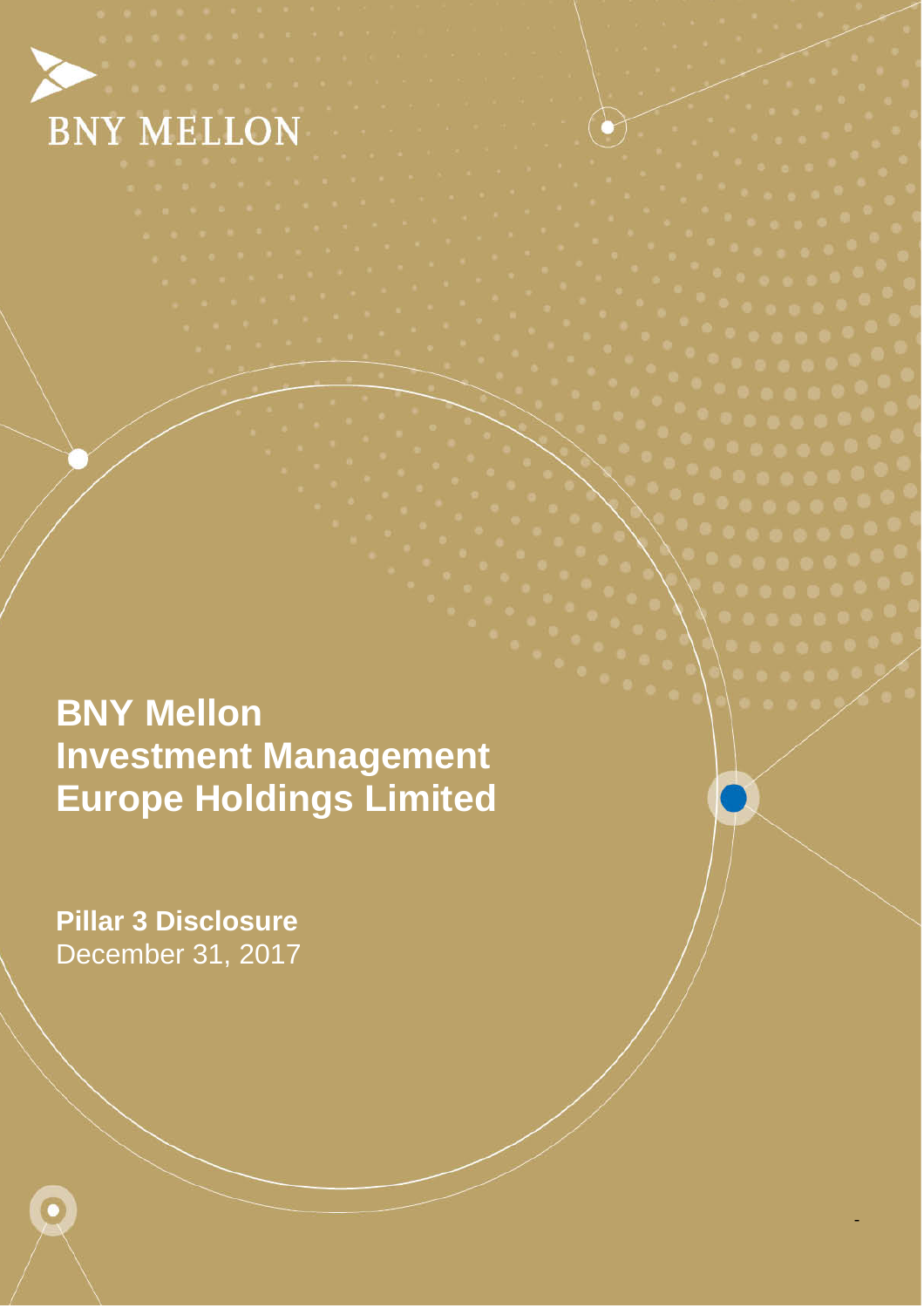

Pillar 3 Disclosure 1

-

 December 31, 2017 **Pillar 3 Disclosure** 

Ō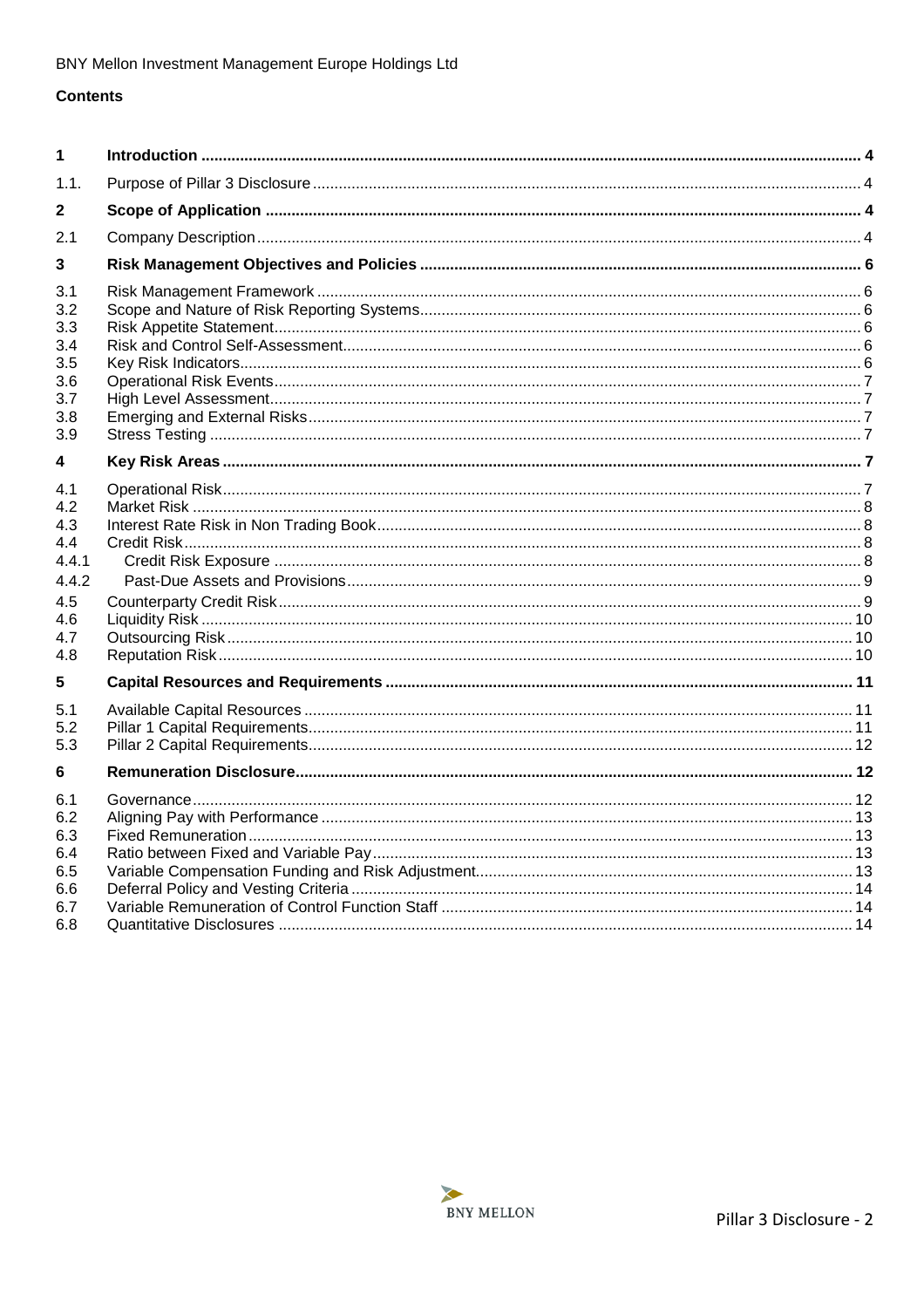## **Contents**

| 1                                                                           |  |
|-----------------------------------------------------------------------------|--|
| 1.1.                                                                        |  |
| 2                                                                           |  |
| 2.1                                                                         |  |
| 3                                                                           |  |
| 3.1<br>3.2<br>3.3<br>3.4<br>3.5<br>3.6<br>3.7<br>3.8<br>3.9                 |  |
| 4                                                                           |  |
| 4.1<br>4.2<br>4.3<br>4.4<br>4.4.1<br>4.4.2<br>4.5<br>4.6<br>4.7<br>4.8<br>5 |  |
| 5.1                                                                         |  |
| 5.2<br>5.3                                                                  |  |
| 6                                                                           |  |
| 6.1<br>6.2<br>6.3<br>6.4<br>6.5<br>6.6<br>6.7                               |  |
| 6.8                                                                         |  |

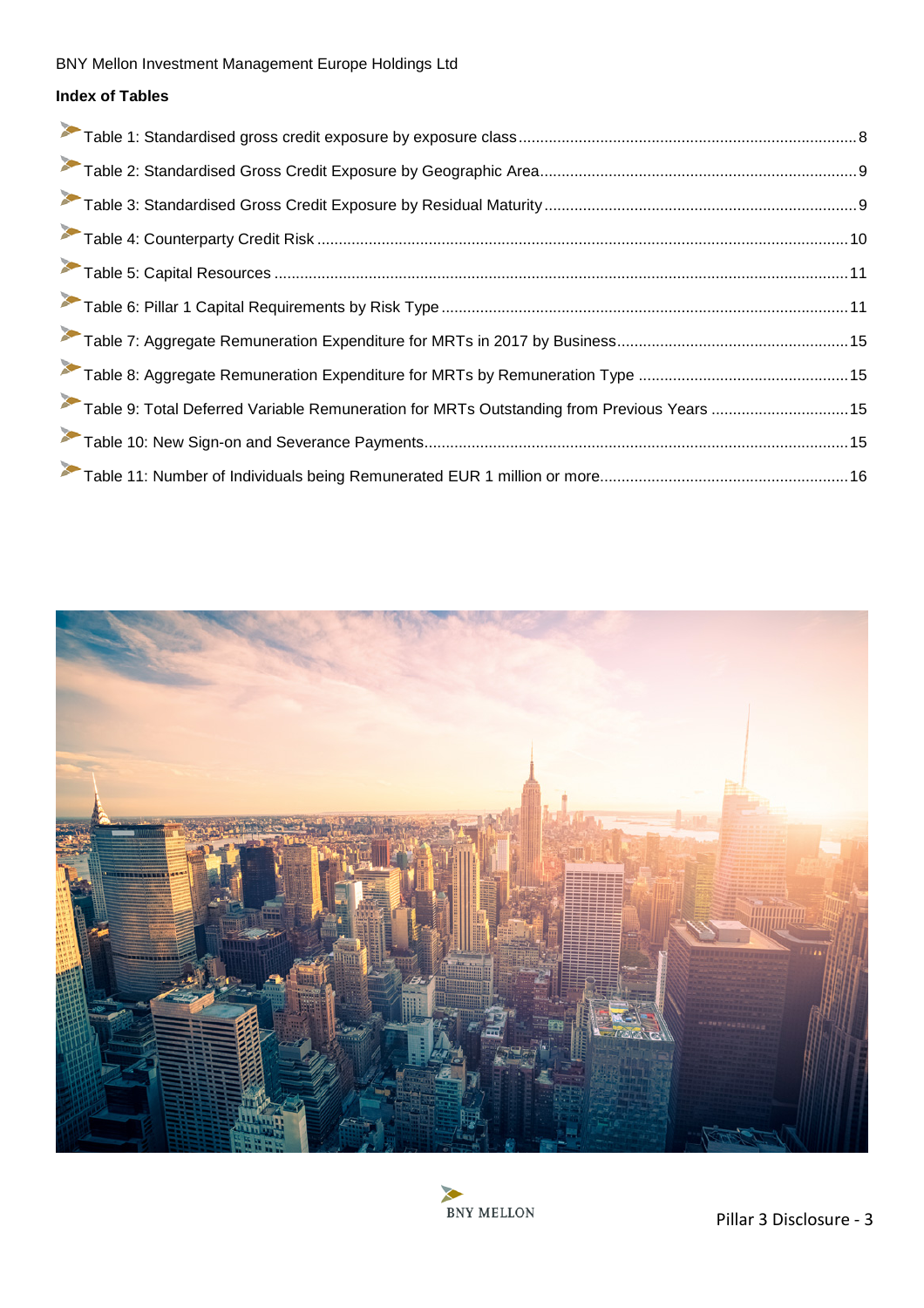# **Index of Tables**

| Table 9: Total Deferred Variable Remuneration for MRTs Outstanding from Previous Years  15 |  |
|--------------------------------------------------------------------------------------------|--|
|                                                                                            |  |
|                                                                                            |  |



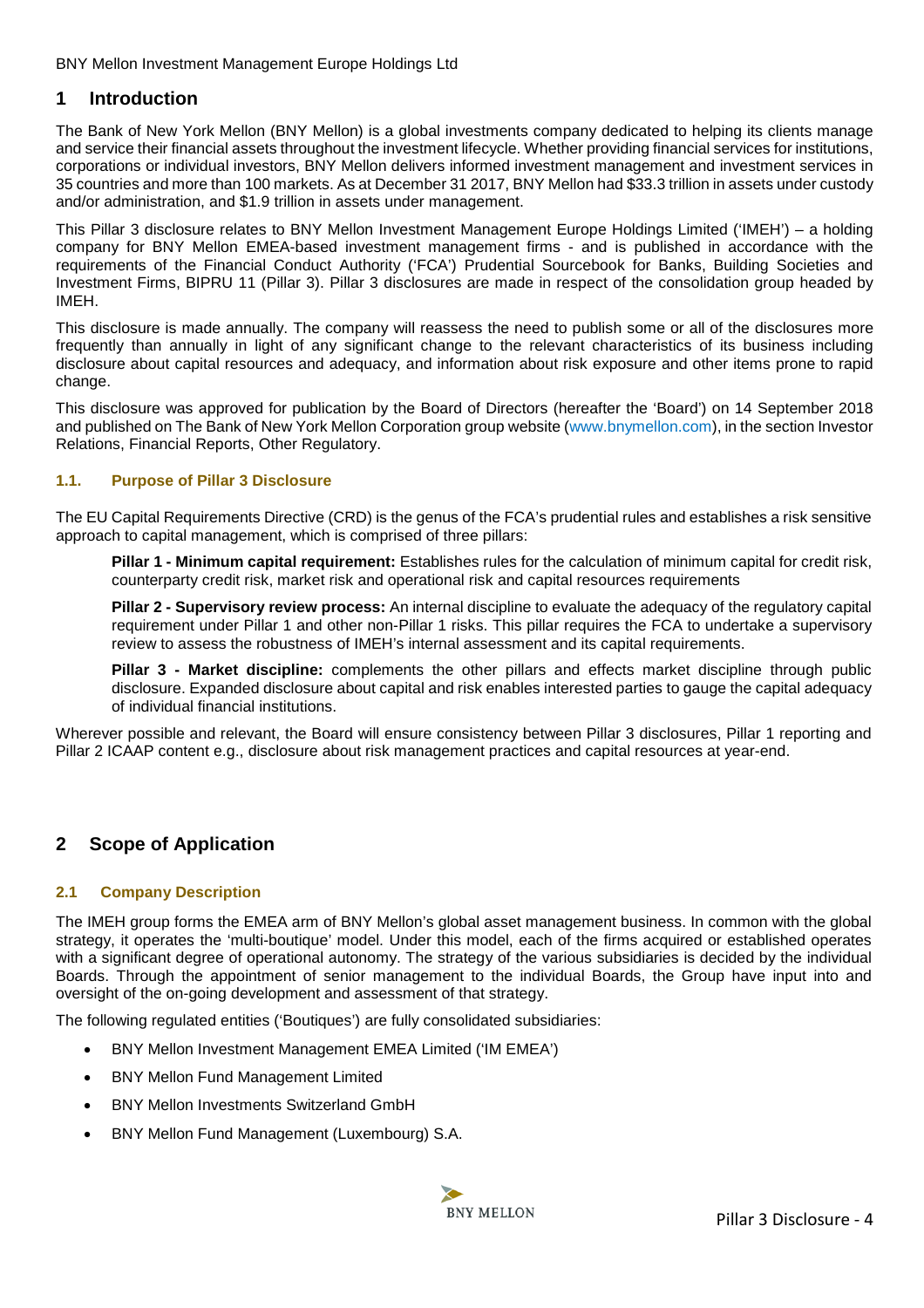## <span id="page-3-0"></span>**1 Introduction**

The Bank of New York Mellon (BNY Mellon) is a global investments company dedicated to helping its clients manage and service their financial assets throughout the investment lifecycle. Whether providing financial services for institutions, corporations or individual investors, BNY Mellon delivers informed investment management and investment services in 35 countries and more than 100 markets. As at December 31 2017, BNY Mellon had \$33.3 trillion in assets under custody and/or administration, and \$1.9 trillion in assets under management.

This Pillar 3 disclosure relates to BNY Mellon Investment Management Europe Holdings Limited ('IMEH') – a holding company for BNY Mellon EMEA-based investment management firms - and is published in accordance with the requirements of the Financial Conduct Authority ('FCA') Prudential Sourcebook for Banks, Building Societies and Investment Firms, BIPRU 11 (Pillar 3). Pillar 3 disclosures are made in respect of the consolidation group headed by IMEH.

This disclosure is made annually. The company will reassess the need to publish some or all of the disclosures more frequently than annually in light of any significant change to the relevant characteristics of its business including disclosure about capital resources and adequacy, and information about risk exposure and other items prone to rapid change.

This disclosure was approved for publication by the Board of Directors (hereafter the 'Board') on 14 September 2018 and published on The Bank of New York Mellon Corporation group website [\(](http://www.bnymellon.com/investorrelations/filings/index.html)<www.bnymellon.com>[\)](http://www.bnymellon.com/investorrelations/filings/index.html), in the section Investor Relations, Financial Reports, Other Regulatory.

## <span id="page-3-1"></span>**1.1. Purpose of Pillar 3 Disclosure**

The EU Capital Requirements Directive (CRD) is the genus of the FCA's prudential rules and establishes a risk sensitive approach to capital management, which is comprised of three pillars:

**Pillar 1 - Minimum capital requirement:** Establishes rules for the calculation of minimum capital for credit risk, counterparty credit risk, market risk and operational risk and capital resources requirements

**Pillar 2 - Supervisory review process:** An internal discipline to evaluate the adequacy of the regulatory capital requirement under Pillar 1 and other non-Pillar 1 risks. This pillar requires the FCA to undertake a supervisory review to assess the robustness of IMEH's internal assessment and its capital requirements.

**Pillar 3 - Market discipline:** complements the other pillars and effects market discipline through public disclosure. Expanded disclosure about capital and risk enables interested parties to gauge the capital adequacy of individual financial institutions.

Wherever possible and relevant, the Board will ensure consistency between Pillar 3 disclosures, Pillar 1 reporting and Pillar 2 ICAAP content e.g., disclosure about risk management practices and capital resources at year-end.

## <span id="page-3-2"></span>**2 Scope of Application**

## <span id="page-3-3"></span>**2.1 Company Description**

The IMEH group forms the EMEA arm of BNY Mellon's global asset management business. In common with the global strategy, it operates the 'multi-boutique' model. Under this model, each of the firms acquired or established operates with a significant degree of operational autonomy. The strategy of the various subsidiaries is decided by the individual Boards. Through the appointment of senior management to the individual Boards, the Group have input into and oversight of the on-going development and assessment of that strategy.

The following regulated entities ('Boutiques') are fully consolidated subsidiaries:

- BNY Mellon Investment Management EMEA Limited ('IM EMEA')
- BNY Mellon Fund Management Limited
- BNY Mellon Investments Switzerland GmbH
- BNY Mellon Fund Management (Luxembourg) S.A.

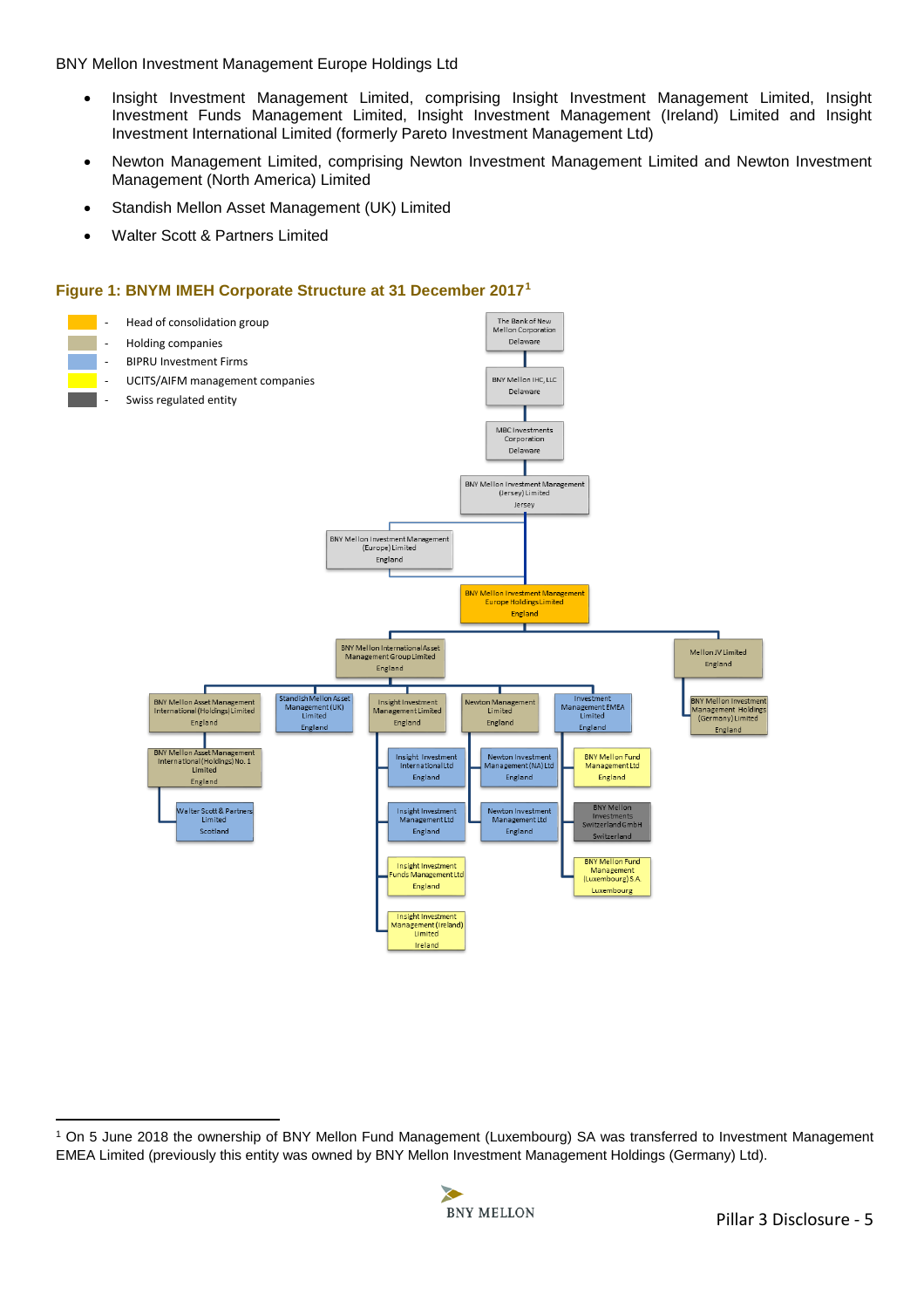- Insight Investment Management Limited, comprising Insight Investment Management Limited, Insight Investment Funds Management Limited, Insight Investment Management (Ireland) Limited and Insight Investment International Limited (formerly Pareto Investment Management Ltd)
- Newton Management Limited, comprising Newton Investment Management Limited and Newton Investment Management (North America) Limited
- Standish Mellon Asset Management (UK) Limited
- Walter Scott & Partners Limited

## **Figure 1: BNYM IMEH Corporate Structure at 31 December 2017[1](#page-4-0)**



<span id="page-4-0"></span> $\overline{a}$ 1 On 5 June 2018 the ownership of BNY Mellon Fund Management (Luxembourg) SA was transferred to Investment Management EMEA Limited (previously this entity was owned by BNY Mellon Investment Management Holdings (Germany) Ltd).

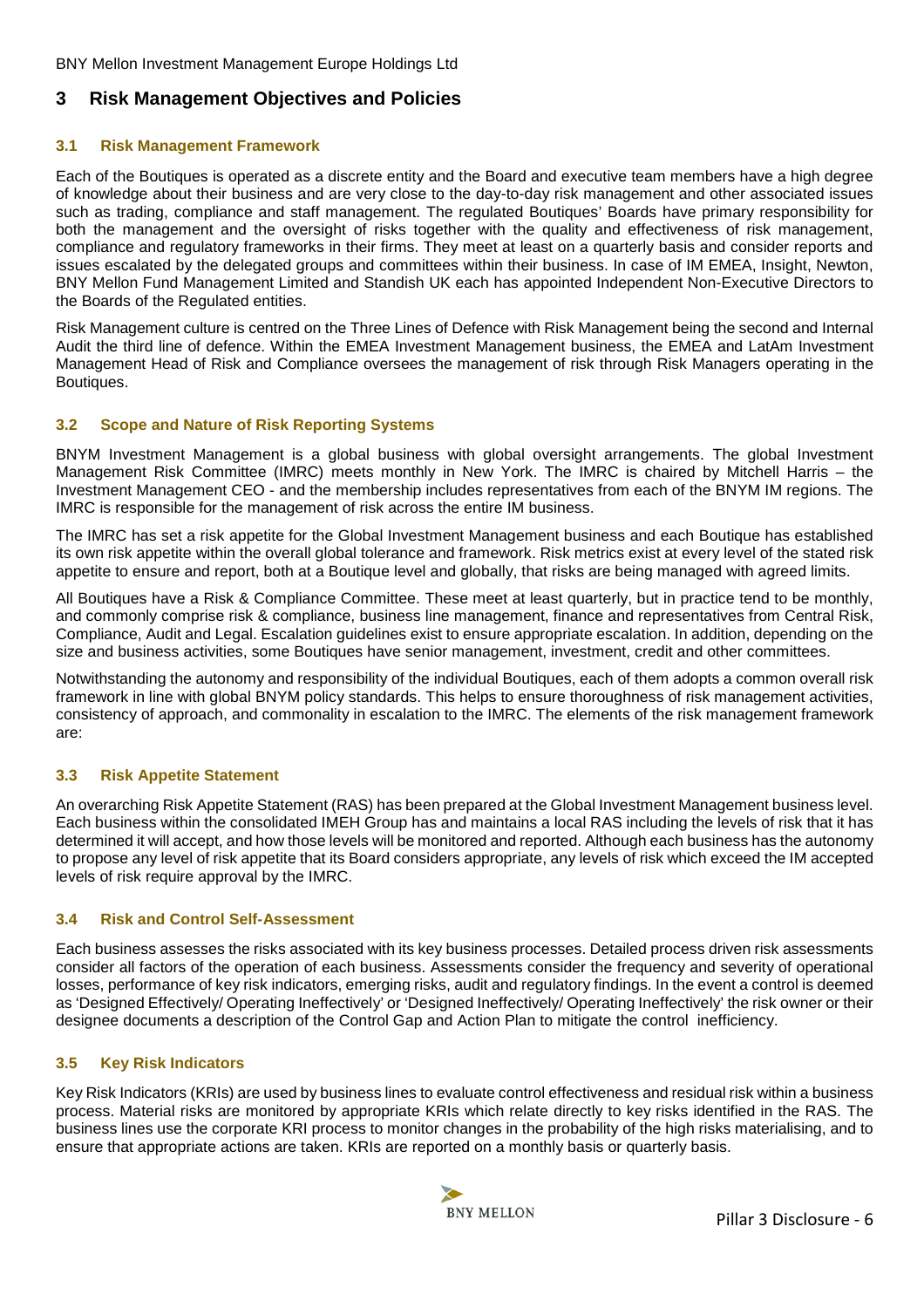## <span id="page-5-0"></span>**3 Risk Management Objectives and Policies**

## <span id="page-5-1"></span>**3.1 Risk Management Framework**

Each of the Boutiques is operated as a discrete entity and the Board and executive team members have a high degree of knowledge about their business and are very close to the day-to-day risk management and other associated issues such as trading, compliance and staff management. The regulated Boutiques' Boards have primary responsibility for both the management and the oversight of risks together with the quality and effectiveness of risk management, compliance and regulatory frameworks in their firms. They meet at least on a quarterly basis and consider reports and issues escalated by the delegated groups and committees within their business. In case of IM EMEA, Insight, Newton, BNY Mellon Fund Management Limited and Standish UK each has appointed Independent Non-Executive Directors to the Boards of the Regulated entities.

Risk Management culture is centred on the Three Lines of Defence with Risk Management being the second and Internal Audit the third line of defence. Within the EMEA Investment Management business, the EMEA and LatAm Investment Management Head of Risk and Compliance oversees the management of risk through Risk Managers operating in the Boutiques.

## <span id="page-5-2"></span>**3.2 Scope and Nature of Risk Reporting Systems**

BNYM Investment Management is a global business with global oversight arrangements. The global Investment Management Risk Committee (IMRC) meets monthly in New York. The IMRC is chaired by Mitchell Harris – the Investment Management CEO - and the membership includes representatives from each of the BNYM IM regions. The IMRC is responsible for the management of risk across the entire IM business.

The IMRC has set a risk appetite for the Global Investment Management business and each Boutique has established its own risk appetite within the overall global tolerance and framework. Risk metrics exist at every level of the stated risk appetite to ensure and report, both at a Boutique level and globally, that risks are being managed with agreed limits.

All Boutiques have a Risk & Compliance Committee. These meet at least quarterly, but in practice tend to be monthly, and commonly comprise risk & compliance, business line management, finance and representatives from Central Risk, Compliance, Audit and Legal. Escalation guidelines exist to ensure appropriate escalation. In addition, depending on the size and business activities, some Boutiques have senior management, investment, credit and other committees.

Notwithstanding the autonomy and responsibility of the individual Boutiques, each of them adopts a common overall risk framework in line with global BNYM policy standards. This helps to ensure thoroughness of risk management activities, consistency of approach, and commonality in escalation to the IMRC. The elements of the risk management framework are:

## <span id="page-5-3"></span>**3.3 Risk Appetite Statement**

An overarching Risk Appetite Statement (RAS) has been prepared at the Global Investment Management business level. Each business within the consolidated IMEH Group has and maintains a local RAS including the levels of risk that it has determined it will accept, and how those levels will be monitored and reported. Although each business has the autonomy to propose any level of risk appetite that its Board considers appropriate, any levels of risk which exceed the IM accepted levels of risk require approval by the IMRC.

#### <span id="page-5-4"></span>**3.4 Risk and Control Self-Assessment**

Each business assesses the risks associated with its key business processes. Detailed process driven risk assessments consider all factors of the operation of each business. Assessments consider the frequency and severity of operational losses, performance of key risk indicators, emerging risks, audit and regulatory findings. In the event a control is deemed as 'Designed Effectively/ Operating Ineffectively' or 'Designed Ineffectively/ Operating Ineffectively' the risk owner or their designee documents a description of the Control Gap and Action Plan to mitigate the control inefficiency.

## <span id="page-5-5"></span>**3.5 Key Risk Indicators**

Key Risk Indicators (KRIs) are used by business lines to evaluate control effectiveness and residual risk within a business process. Material risks are monitored by appropriate KRIs which relate directly to key risks identified in the RAS. The business lines use the corporate KRI process to monitor changes in the probability of the high risks materialising, and to ensure that appropriate actions are taken. KRIs are reported on a monthly basis or quarterly basis.

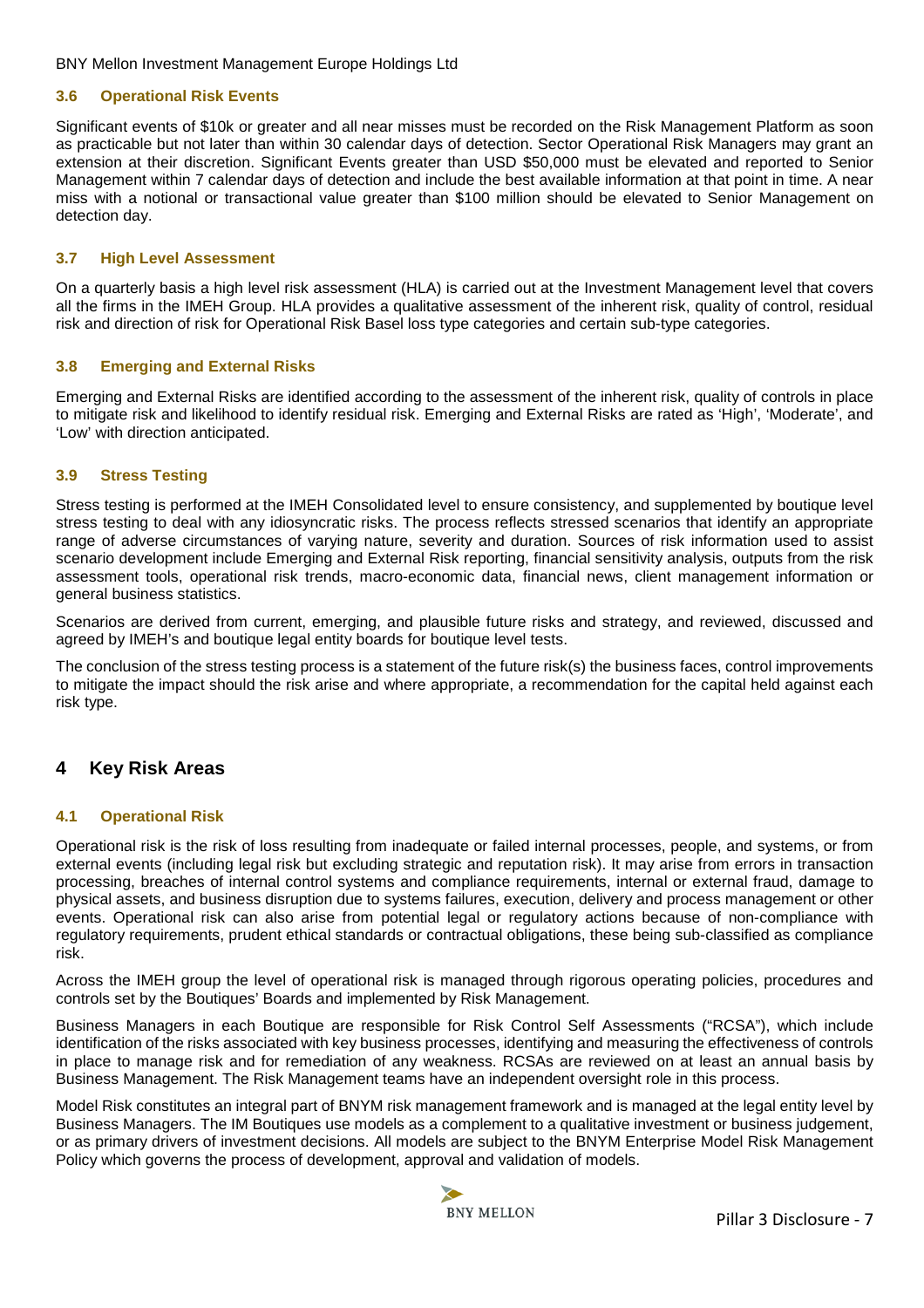## <span id="page-6-0"></span>**3.6 Operational Risk Events**

Significant events of \$10k or greater and all near misses must be recorded on the Risk Management Platform as soon as practicable but not later than within 30 calendar days of detection. Sector Operational Risk Managers may grant an extension at their discretion. Significant Events greater than USD \$50,000 must be elevated and reported to Senior Management within 7 calendar days of detection and include the best available information at that point in time. A near miss with a notional or transactional value greater than \$100 million should be elevated to Senior Management on detection day.

## <span id="page-6-1"></span>**3.7 High Level Assessment**

On a quarterly basis a high level risk assessment (HLA) is carried out at the Investment Management level that covers all the firms in the IMEH Group. HLA provides a qualitative assessment of the inherent risk, quality of control, residual risk and direction of risk for Operational Risk Basel loss type categories and certain sub-type categories.

## <span id="page-6-2"></span>**3.8 Emerging and External Risks**

Emerging and External Risks are identified according to the assessment of the inherent risk, quality of controls in place to mitigate risk and likelihood to identify residual risk. Emerging and External Risks are rated as 'High', 'Moderate', and 'Low' with direction anticipated.

## <span id="page-6-3"></span>**3.9 Stress Testing**

Stress testing is performed at the IMEH Consolidated level to ensure consistency, and supplemented by boutique level stress testing to deal with any idiosyncratic risks. The process reflects stressed scenarios that identify an appropriate range of adverse circumstances of varying nature, severity and duration. Sources of risk information used to assist scenario development include Emerging and External Risk reporting, financial sensitivity analysis, outputs from the risk assessment tools, operational risk trends, macro-economic data, financial news, client management information or general business statistics.

Scenarios are derived from current, emerging, and plausible future risks and strategy, and reviewed, discussed and agreed by IMEH's and boutique legal entity boards for boutique level tests.

The conclusion of the stress testing process is a statement of the future risk(s) the business faces, control improvements to mitigate the impact should the risk arise and where appropriate, a recommendation for the capital held against each risk type.

## <span id="page-6-4"></span>**4 Key Risk Areas**

## <span id="page-6-5"></span>**4.1 Operational Risk**

Operational risk is the risk of loss resulting from inadequate or failed internal processes, people, and systems, or from external events (including legal risk but excluding strategic and reputation risk). It may arise from errors in transaction processing, breaches of internal control systems and compliance requirements, internal or external fraud, damage to physical assets, and business disruption due to systems failures, execution, delivery and process management or other events. Operational risk can also arise from potential legal or regulatory actions because of non-compliance with regulatory requirements, prudent ethical standards or contractual obligations, these being sub-classified as compliance risk.

Across the IMEH group the level of operational risk is managed through rigorous operating policies, procedures and controls set by the Boutiques' Boards and implemented by Risk Management.

Business Managers in each Boutique are responsible for Risk Control Self Assessments ("RCSA"), which include identification of the risks associated with key business processes, identifying and measuring the effectiveness of controls in place to manage risk and for remediation of any weakness. RCSAs are reviewed on at least an annual basis by Business Management. The Risk Management teams have an independent oversight role in this process.

Model Risk constitutes an integral part of BNYM risk management framework and is managed at the legal entity level by Business Managers. The IM Boutiques use models as a complement to a qualitative investment or business judgement, or as primary drivers of investment decisions. All models are subject to the BNYM Enterprise Model Risk Management Policy which governs the process of development, approval and validation of models.

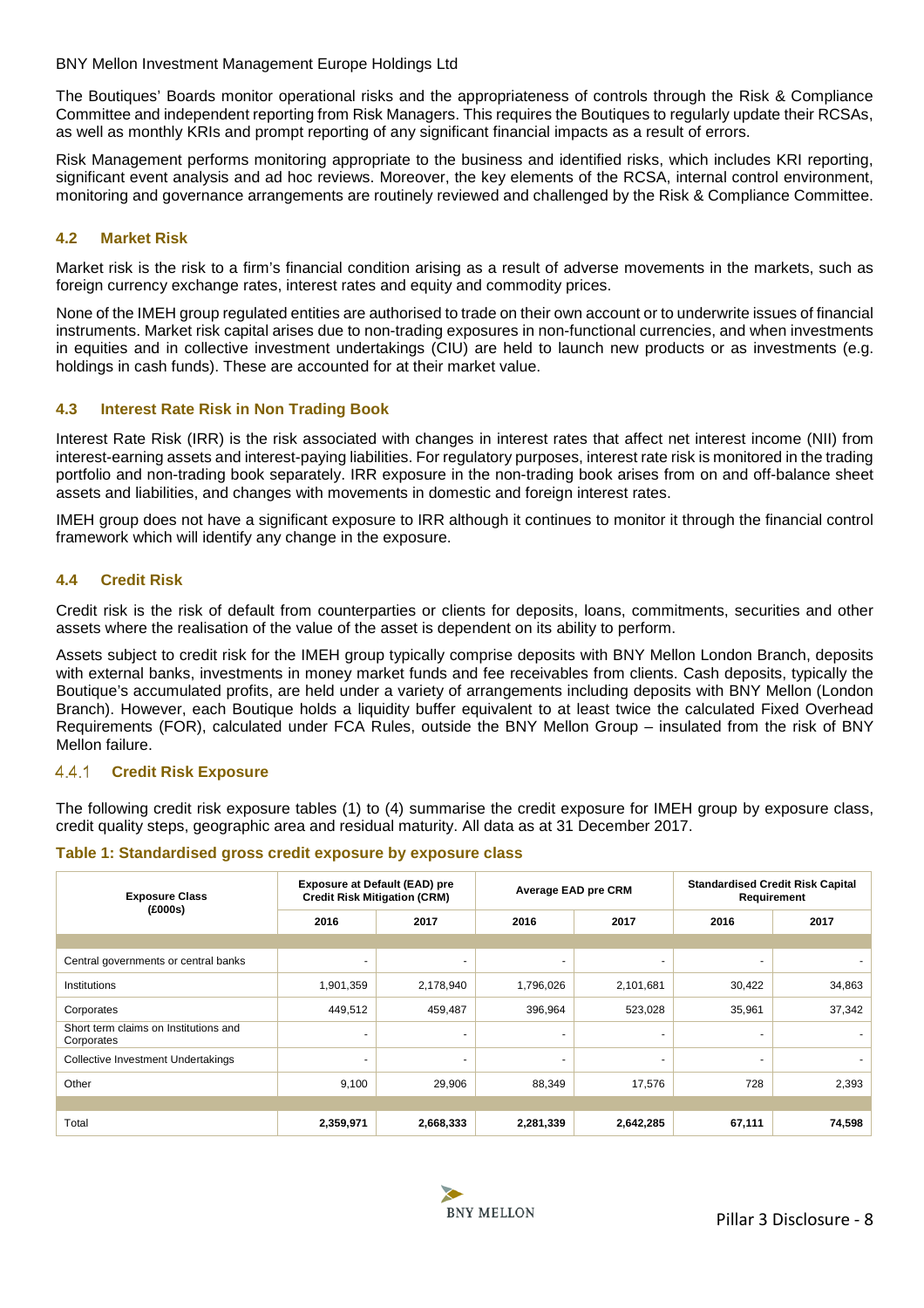The Boutiques' Boards monitor operational risks and the appropriateness of controls through the Risk & Compliance Committee and independent reporting from Risk Managers. This requires the Boutiques to regularly update their RCSAs, as well as monthly KRIs and prompt reporting of any significant financial impacts as a result of errors.

Risk Management performs monitoring appropriate to the business and identified risks, which includes KRI reporting, significant event analysis and ad hoc reviews. Moreover, the key elements of the RCSA, internal control environment, monitoring and governance arrangements are routinely reviewed and challenged by the Risk & Compliance Committee.

## <span id="page-7-0"></span>**4.2 Market Risk**

Market risk is the risk to a firm's financial condition arising as a result of adverse movements in the markets, such as foreign currency exchange rates, interest rates and equity and commodity prices.

None of the IMEH group regulated entities are authorised to trade on their own account or to underwrite issues of financial instruments. Market risk capital arises due to non-trading exposures in non-functional currencies, and when investments in equities and in collective investment undertakings (CIU) are held to launch new products or as investments (e.g. holdings in cash funds). These are accounted for at their market value.

## <span id="page-7-1"></span>**4.3 Interest Rate Risk in Non Trading Book**

Interest Rate Risk (IRR) is the risk associated with changes in interest rates that affect net interest income (NII) from interest-earning assets and interest-paying liabilities. For regulatory purposes, interest rate risk is monitored in the trading portfolio and non-trading book separately. IRR exposure in the non-trading book arises from on and off-balance sheet assets and liabilities, and changes with movements in domestic and foreign interest rates.

IMEH group does not have a significant exposure to IRR although it continues to monitor it through the financial control framework which will identify any change in the exposure.

## <span id="page-7-2"></span>**4.4 Credit Risk**

Credit risk is the risk of default from counterparties or clients for deposits, loans, commitments, securities and other assets where the realisation of the value of the asset is dependent on its ability to perform.

Assets subject to credit risk for the IMEH group typically comprise deposits with BNY Mellon London Branch, deposits with external banks, investments in money market funds and fee receivables from clients. Cash deposits, typically the Boutique's accumulated profits, are held under a variety of arrangements including deposits with BNY Mellon (London Branch). However, each Boutique holds a liquidity buffer equivalent to at least twice the calculated Fixed Overhead Requirements (FOR), calculated under FCA Rules, outside the BNY Mellon Group – insulated from the risk of BNY Mellon failure.

#### <span id="page-7-3"></span> $4.4.1$ **Credit Risk Exposure**

The following credit risk exposure tables (1) to (4) summarise the credit exposure for IMEH group by exposure class, credit quality steps, geographic area and residual maturity. All data as at 31 December 2017.

#### <span id="page-7-4"></span>**Table 1: Standardised gross credit exposure by exposure class**

| <b>Exposure Class</b><br>(£000s)                    | <b>Exposure at Default (EAD) pre</b><br><b>Credit Risk Mitigation (CRM)</b> |                | Average EAD pre CRM |                          | <b>Standardised Credit Risk Capital</b><br>Requirement |        |
|-----------------------------------------------------|-----------------------------------------------------------------------------|----------------|---------------------|--------------------------|--------------------------------------------------------|--------|
|                                                     | 2016                                                                        | 2017           | 2016                | 2017                     | 2016                                                   | 2017   |
|                                                     |                                                                             |                |                     |                          |                                                        |        |
| Central governments or central banks                | ۰                                                                           | $\blacksquare$ | $\sim$              | $\overline{\phantom{a}}$ | $\overline{\phantom{0}}$                               |        |
| Institutions                                        | 1,901,359                                                                   | 2,178,940      | 1,796,026           | 2,101,681                | 30,422                                                 | 34,863 |
| Corporates                                          | 449,512                                                                     | 459,487        | 396,964             | 523,028                  | 35,961                                                 | 37,342 |
| Short term claims on Institutions and<br>Corporates | ۰                                                                           | $\overline{a}$ | $\overline{a}$      |                          |                                                        |        |
| <b>Collective Investment Undertakings</b>           | ۰                                                                           | $\overline{a}$ | $\sim$              | ٠                        | ٠                                                      |        |
| Other                                               | 9,100                                                                       | 29,906         | 88,349              | 17,576                   | 728                                                    | 2,393  |
|                                                     |                                                                             |                |                     |                          |                                                        |        |
| Total                                               | 2,359,971                                                                   | 2,668,333      | 2,281,339           | 2,642,285                | 67,111                                                 | 74,598 |

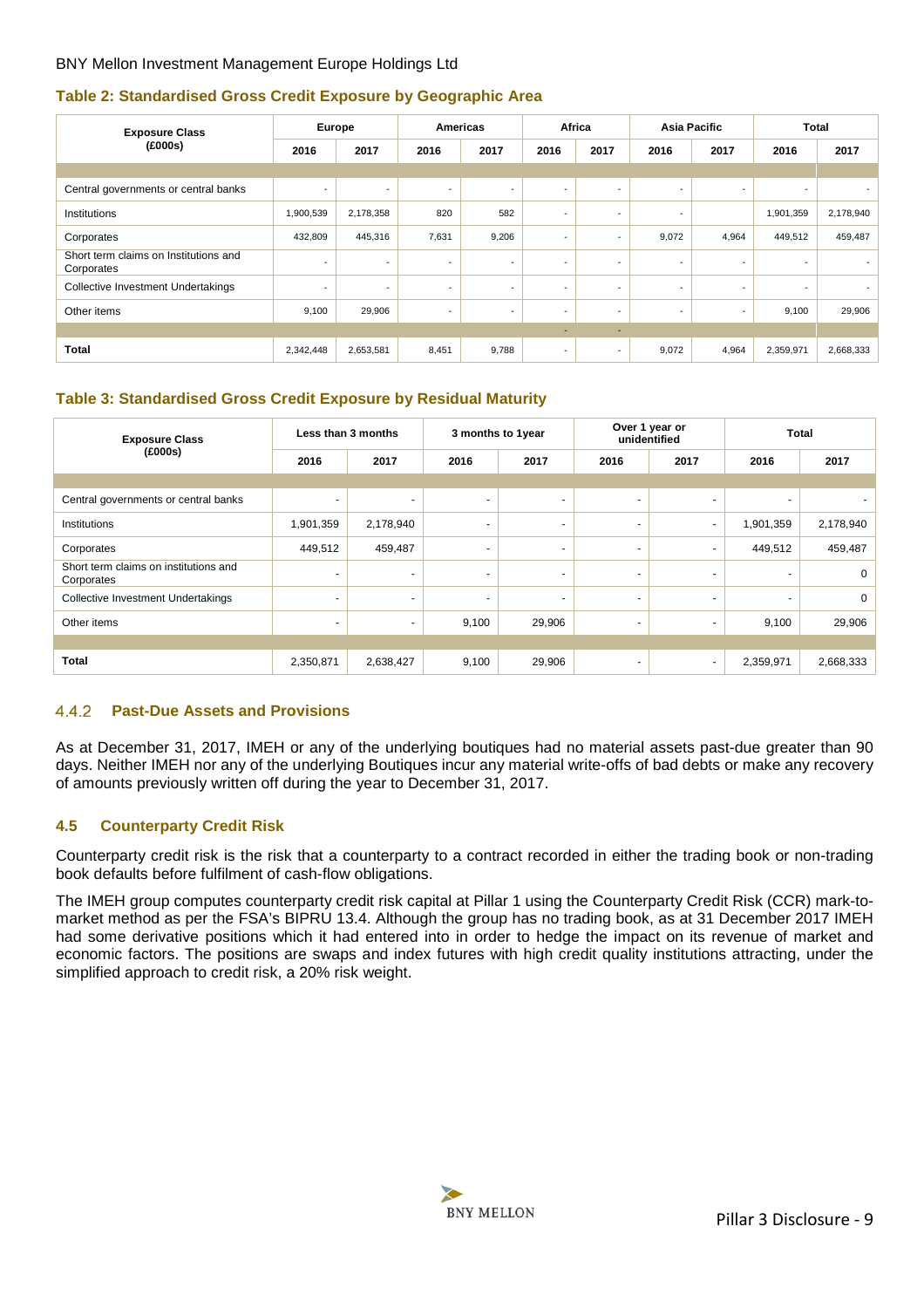## <span id="page-8-2"></span>**Table 2: Standardised Gross Credit Exposure by Geographic Area**

| <b>Exposure Class</b>                               | Europe<br><b>Americas</b> |                          |                          | Africa                   |                          | Asia Pacific             |       | <b>Total</b>             |                          |                          |
|-----------------------------------------------------|---------------------------|--------------------------|--------------------------|--------------------------|--------------------------|--------------------------|-------|--------------------------|--------------------------|--------------------------|
| (£000s)                                             | 2016                      | 2017                     | 2016                     | 2017                     | 2016                     | 2017                     | 2016  | 2017                     | 2016                     | 2017                     |
|                                                     |                           |                          |                          |                          |                          |                          |       |                          |                          |                          |
| Central governments or central banks                | $\overline{\phantom{a}}$  | $\overline{\phantom{a}}$ | $\overline{\phantom{a}}$ | $\overline{\phantom{a}}$ | $\overline{\phantom{a}}$ | $\overline{\phantom{a}}$ | ٠     | $\overline{\phantom{a}}$ | $\overline{\phantom{a}}$ | $\overline{\phantom{a}}$ |
| Institutions                                        | 1,900,539                 | 2,178,358                | 820                      | 582                      | $\overline{\phantom{a}}$ | $\overline{\phantom{a}}$ | ٠     |                          | 1,901,359                | 2,178,940                |
| Corporates                                          | 432,809                   | 445,316                  | 7,631                    | 9,206                    | $\overline{\phantom{a}}$ | $\overline{\phantom{a}}$ | 9,072 | 4,964                    | 449,512                  | 459,487                  |
| Short term claims on Institutions and<br>Corporates | $\overline{\phantom{a}}$  | $\overline{\phantom{a}}$ | $\overline{\phantom{a}}$ | $\overline{\phantom{a}}$ | $\overline{\phantom{a}}$ | $\overline{\phantom{a}}$ | ٠     | $\overline{\phantom{a}}$ | $\overline{\phantom{a}}$ |                          |
| Collective Investment Undertakings                  | $\overline{\phantom{a}}$  | $\overline{\phantom{a}}$ | ٠                        | $\overline{\phantom{a}}$ | $\overline{\phantom{a}}$ | $\overline{\phantom{a}}$ | ٠     | $\overline{\phantom{a}}$ | $\overline{\phantom{a}}$ | $\overline{\phantom{a}}$ |
| Other items                                         | 9,100                     | 29,906                   |                          | $\overline{\phantom{a}}$ | $\overline{\phantom{a}}$ | $\overline{\phantom{a}}$ | ٠     | $\overline{\phantom{a}}$ | 9,100                    | 29,906                   |
|                                                     |                           |                          |                          |                          | $\overline{\phantom{a}}$ | $\overline{\phantom{a}}$ |       |                          |                          |                          |
| <b>Total</b>                                        | 2,342,448                 | 2,653,581                | 8,451                    | 9,788                    | $\overline{\phantom{a}}$ | $\sim$                   | 9,072 | 4,964                    | 2,359,971                | 2,668,333                |

## <span id="page-8-3"></span>**Table 3: Standardised Gross Credit Exposure by Residual Maturity**

| <b>Exposure Class</b>                               | Less than 3 months       |                          | 3 months to 1year |                          | Over 1 year or<br>unidentified |                          | <b>Total</b>             |             |
|-----------------------------------------------------|--------------------------|--------------------------|-------------------|--------------------------|--------------------------------|--------------------------|--------------------------|-------------|
| (£000s)                                             | 2016                     | 2017                     | 2016              | 2017                     | 2016                           | 2017                     | 2016                     | 2017        |
|                                                     |                          |                          |                   |                          |                                |                          |                          |             |
| Central governments or central banks                | $\sim$                   | ٠                        | $\sim$            | ٠                        | $\blacksquare$                 | $\overline{\phantom{a}}$ | $\overline{\phantom{0}}$ |             |
| Institutions                                        | 1,901,359                | 2,178,940                | $\overline{a}$    | $\overline{\phantom{a}}$ | $\overline{a}$                 | ٠                        | 1,901,359                | 2,178,940   |
| Corporates                                          | 449,512                  | 459,487                  | $\sim$            | ٠                        | $\blacksquare$                 | ٠                        | 449,512                  | 459,487     |
| Short term claims on institutions and<br>Corporates | $\sim$                   | $\sim$                   | $\sim$            | ٠                        | $\blacksquare$                 | ٠                        | ۰                        | 0           |
| <b>Collective Investment Undertakings</b>           | $\overline{\phantom{a}}$ | $\overline{\phantom{0}}$ | $\sim$            | ٠                        | $\blacksquare$                 | $\sim$                   | $\overline{\phantom{a}}$ | $\mathbf 0$ |
| Other items                                         | ۰                        | $\sim$                   | 9,100             | 29,906                   | $\overline{\phantom{a}}$       | $\sim$                   | 9,100                    | 29,906      |
|                                                     |                          |                          |                   |                          |                                |                          |                          |             |
| <b>Total</b>                                        | 2,350,871                | 2,638,427                | 9,100             | 29,906                   |                                | ٠                        | 2,359,971                | 2,668,333   |

#### <span id="page-8-0"></span>**Past-Due Assets and Provisions**  $4.4.2$

As at December 31, 2017, IMEH or any of the underlying boutiques had no material assets past-due greater than 90 days. Neither IMEH nor any of the underlying Boutiques incur any material write-offs of bad debts or make any recovery of amounts previously written off during the year to December 31, 2017.

## <span id="page-8-1"></span>**4.5 Counterparty Credit Risk**

Counterparty credit risk is the risk that a counterparty to a contract recorded in either the trading book or non-trading book defaults before fulfilment of cash-flow obligations.

The IMEH group computes counterparty credit risk capital at Pillar 1 using the Counterparty Credit Risk (CCR) mark-tomarket method as per the FSA's BIPRU 13.4. Although the group has no trading book, as at 31 December 2017 IMEH had some derivative positions which it had entered into in order to hedge the impact on its revenue of market and economic factors. The positions are swaps and index futures with high credit quality institutions attracting, under the simplified approach to credit risk, a 20% risk weight.

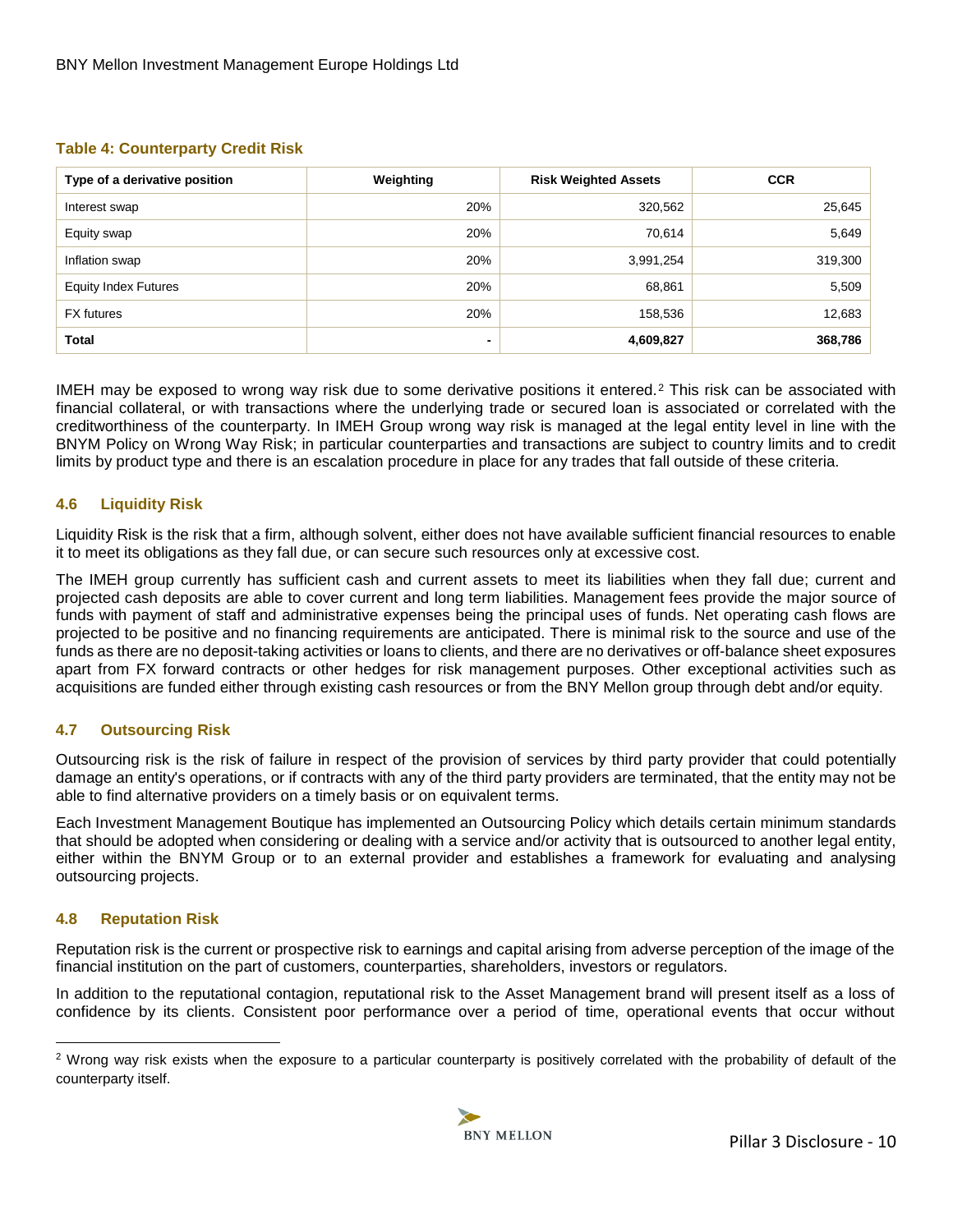## **Table 4: Counterparty Credit Risk**

<span id="page-9-3"></span>

| Type of a derivative position | Weighting | <b>Risk Weighted Assets</b> | <b>CCR</b> |
|-------------------------------|-----------|-----------------------------|------------|
| Interest swap                 | 20%       | 320,562                     | 25,645     |
| Equity swap                   | 20%       | 70,614                      | 5,649      |
| Inflation swap                | 20%       | 3,991,254                   | 319,300    |
| <b>Equity Index Futures</b>   | 20%       | 68,861                      | 5,509      |
| <b>FX</b> futures             | 20%       | 158,536                     | 12,683     |
| <b>Total</b>                  |           | 4,609,827                   | 368,786    |

IMEH may be exposed to wrong way risk due to some derivative positions it entered.<sup>2</sup> This risk can be associated with financial collateral, or with transactions where the underlying trade or secured loan is associated or correlated with the creditworthiness of the counterparty. In IMEH Group wrong way risk is managed at the legal entity level in line with the BNYM Policy on Wrong Way Risk; in particular counterparties and transactions are subject to country limits and to credit limits by product type and there is an escalation procedure in place for any trades that fall outside of these criteria.

## **4.6 Liquidity Risk**

Liquidity Risk is the risk that a firm, although solvent, either does not have available sufficient financial resources to enable it to meet its obligations as they fall due, or can secure such resources only at excessive cost.

<span id="page-9-0"></span>The IMEH group currently has sufficient cash and current assets to meet its liabilities when they fall due; current and projected cash deposits are able to cover current and long term liabilities. Management fees provide the major source of funds with payment of staff and administrative expenses being the principal uses of funds. Net operating cash flows are projected to be positive and no financing requirements are anticipated. There is minimal risk to the source and use of the funds as there are no deposit-taking activities or loans to clients, and there are no derivatives or off-balance sheet exposures apart from FX forward contracts or other hedges for risk management purposes. Other exceptional activities such as acquisitions are funded either through existing cash resources or from the BNY Mellon group through debt and/or equity.

## **4.7 Outsourcing Risk**

Outsourcing risk is the risk of failure in respect of the provision of services by third party provider that could potentially damage an entity's operations, or if contracts with any of the third party providers are terminated, that the entity may not be able to find alternative providers on a timely basis or on equivalent terms.

<span id="page-9-1"></span>Each Investment Management Boutique has implemented an Outsourcing Policy which details certain minimum standards that should be adopted when considering or dealing with a service and/or activity that is outsourced to another legal entity, either within the BNYM Group or to an external provider and establishes a framework for evaluating and analysing outsourcing projects.

## **4.8 Reputation Risk**

 $\overline{a}$ 

Reputation risk is the current or prospective risk to earnings and capital arising from adverse perception of the image of the financial institution on the part of customers, counterparties, shareholders, investors or regulators.

<span id="page-9-2"></span>In addition to the reputational contagion, reputational risk to the Asset Management brand will present itself as a loss of confidence by its clients. Consistent poor performance over a period of time, operational events that occur without

<span id="page-9-4"></span><sup>&</sup>lt;sup>2</sup> Wrong way risk exists when the exposure to a particular counterparty is positively correlated with the probability of default of the counterparty itself.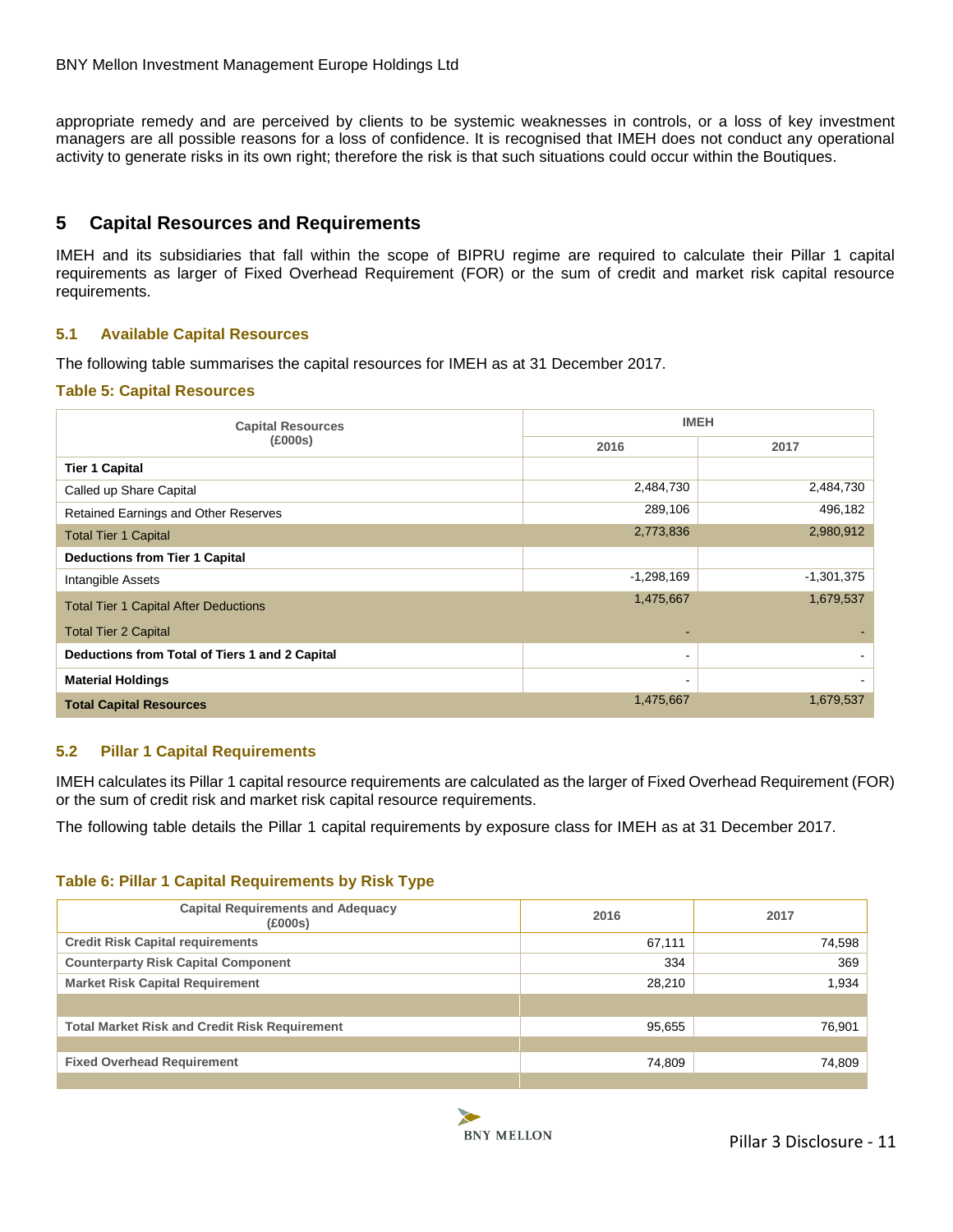appropriate remedy and are perceived by clients to be systemic weaknesses in controls, or a loss of key investment managers are all possible reasons for a loss of confidence. It is recognised that IMEH does not conduct any operational activity to generate risks in its own right; therefore the risk is that such situations could occur within the Boutiques.

## **5 Capital Resources and Requirements**

<span id="page-10-0"></span>IMEH and its subsidiaries that fall within the scope of BIPRU regime are required to calculate their Pillar 1 capital requirements as larger of Fixed Overhead Requirement (FOR) or the sum of credit and market risk capital resource requirements.

## **5.1 Available Capital Resources**

The following table summarises the capital resources for IMEH as at 31 December 2017.

#### <span id="page-10-1"></span>**Table 5: Capital Resources**

<span id="page-10-3"></span>

| <b>Capital Resources</b>                       |                | <b>IMEH</b>  |
|------------------------------------------------|----------------|--------------|
| (£000s)                                        | 2016           | 2017         |
| <b>Tier 1 Capital</b>                          |                |              |
| Called up Share Capital                        | 2,484,730      | 2,484,730    |
| Retained Earnings and Other Reserves           | 289,106        | 496,182      |
| <b>Total Tier 1 Capital</b>                    | 2,773,836      | 2,980,912    |
| <b>Deductions from Tier 1 Capital</b>          |                |              |
| Intangible Assets                              | $-1,298,169$   | $-1,301,375$ |
| <b>Total Tier 1 Capital After Deductions</b>   | 1,475,667      | 1,679,537    |
| <b>Total Tier 2 Capital</b>                    |                |              |
| Deductions from Total of Tiers 1 and 2 Capital | $\blacksquare$ |              |
| <b>Material Holdings</b>                       | $\blacksquare$ |              |
| <b>Total Capital Resources</b>                 | 1,475,667      | 1,679,537    |

## **5.2 Pillar 1 Capital Requirements**

<span id="page-10-2"></span>IMEH calculates its Pillar 1 capital resource requirements are calculated as the larger of Fixed Overhead Requirement (FOR) or the sum of credit risk and market risk capital resource requirements.

The following table details the Pillar 1 capital requirements by exposure class for IMEH as at 31 December 2017.

## **Table 6: Pillar 1 Capital Requirements by Risk Type**

<span id="page-10-4"></span>

| <b>Capital Requirements and Adequacy</b><br>(£000s)  | 2016   | 2017   |
|------------------------------------------------------|--------|--------|
| <b>Credit Risk Capital requirements</b>              | 67,111 | 74,598 |
| <b>Counterparty Risk Capital Component</b>           | 334    | 369    |
| <b>Market Risk Capital Requirement</b>               | 28,210 | 1,934  |
|                                                      |        |        |
| <b>Total Market Risk and Credit Risk Requirement</b> | 95,655 | 76,901 |
|                                                      |        |        |
| <b>Fixed Overhead Requirement</b>                    | 74,809 | 74,809 |
|                                                      |        |        |

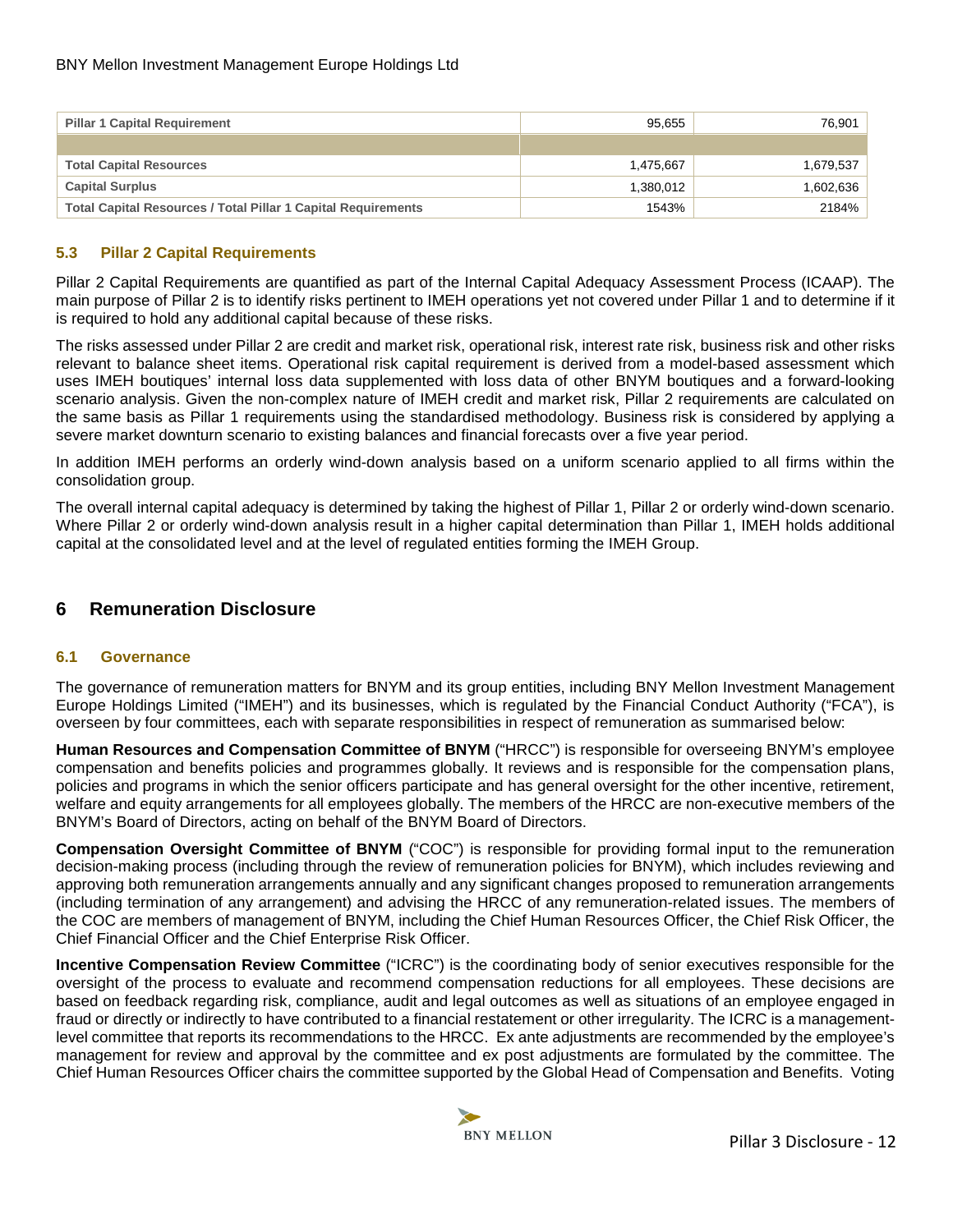| <b>Pillar 1 Capital Requirement</b>                                  | 95.655    | 76,901    |
|----------------------------------------------------------------------|-----------|-----------|
|                                                                      |           |           |
| <b>Total Capital Resources</b>                                       | 1.475.667 | 1,679,537 |
| <b>Capital Surplus</b>                                               | 1.380.012 | 1,602,636 |
| <b>Total Capital Resources / Total Pillar 1 Capital Requirements</b> | 1543%     | 2184%     |

## **5.3 Pillar 2 Capital Requirements**

<span id="page-11-0"></span>Pillar 2 Capital Requirements are quantified as part of the Internal Capital Adequacy Assessment Process (ICAAP). The main purpose of Pillar 2 is to identify risks pertinent to IMEH operations yet not covered under Pillar 1 and to determine if it is required to hold any additional capital because of these risks.

The risks assessed under Pillar 2 are credit and market risk, operational risk, interest rate risk, business risk and other risks relevant to balance sheet items. Operational risk capital requirement is derived from a model-based assessment which uses IMEH boutiques' internal loss data supplemented with loss data of other BNYM boutiques and a forward-looking scenario analysis. Given the non-complex nature of IMEH credit and market risk, Pillar 2 requirements are calculated on the same basis as Pillar 1 requirements using the standardised methodology. Business risk is considered by applying a severe market downturn scenario to existing balances and financial forecasts over a five year period.

In addition IMEH performs an orderly wind-down analysis based on a uniform scenario applied to all firms within the consolidation group.

The overall internal capital adequacy is determined by taking the highest of Pillar 1, Pillar 2 or orderly wind-down scenario. Where Pillar 2 or orderly wind-down analysis result in a higher capital determination than Pillar 1, IMEH holds additional capital at the consolidated level and at the level of regulated entities forming the IMEH Group.

## **6 Remuneration Disclosure**

#### <span id="page-11-1"></span>**6.1 Governance**

The governance of remuneration matters for BNYM and its group entities, including BNY Mellon Investment Management Europe Holdings Limited ("IMEH") and its businesses, which is regulated by the Financial Conduct Authority ("FCA"), is overseen by four committees, each with separate responsibilities in respect of remuneration as summarised below:

<span id="page-11-2"></span>**Human Resources and Compensation Committee of BNYM** ("HRCC") is responsible for overseeing BNYM's employee compensation and benefits policies and programmes globally. It reviews and is responsible for the compensation plans, policies and programs in which the senior officers participate and has general oversight for the other incentive, retirement, welfare and equity arrangements for all employees globally. The members of the HRCC are non-executive members of the BNYM's Board of Directors, acting on behalf of the BNYM Board of Directors.

**Compensation Oversight Committee of BNYM** ("COC") is responsible for providing formal input to the remuneration decision-making process (including through the review of remuneration policies for BNYM), which includes reviewing and approving both remuneration arrangements annually and any significant changes proposed to remuneration arrangements (including termination of any arrangement) and advising the HRCC of any remuneration-related issues. The members of the COC are members of management of BNYM, including the Chief Human Resources Officer, the Chief Risk Officer, the Chief Financial Officer and the Chief Enterprise Risk Officer.

**Incentive Compensation Review Committee** ("ICRC") is the coordinating body of senior executives responsible for the oversight of the process to evaluate and recommend compensation reductions for all employees. These decisions are based on feedback regarding risk, compliance, audit and legal outcomes as well as situations of an employee engaged in fraud or directly or indirectly to have contributed to a financial restatement or other irregularity. The ICRC is a managementlevel committee that reports its recommendations to the HRCC. Ex ante adjustments are recommended by the employee's management for review and approval by the committee and ex post adjustments are formulated by the committee. The Chief Human Resources Officer chairs the committee supported by the Global Head of Compensation and Benefits. Voting

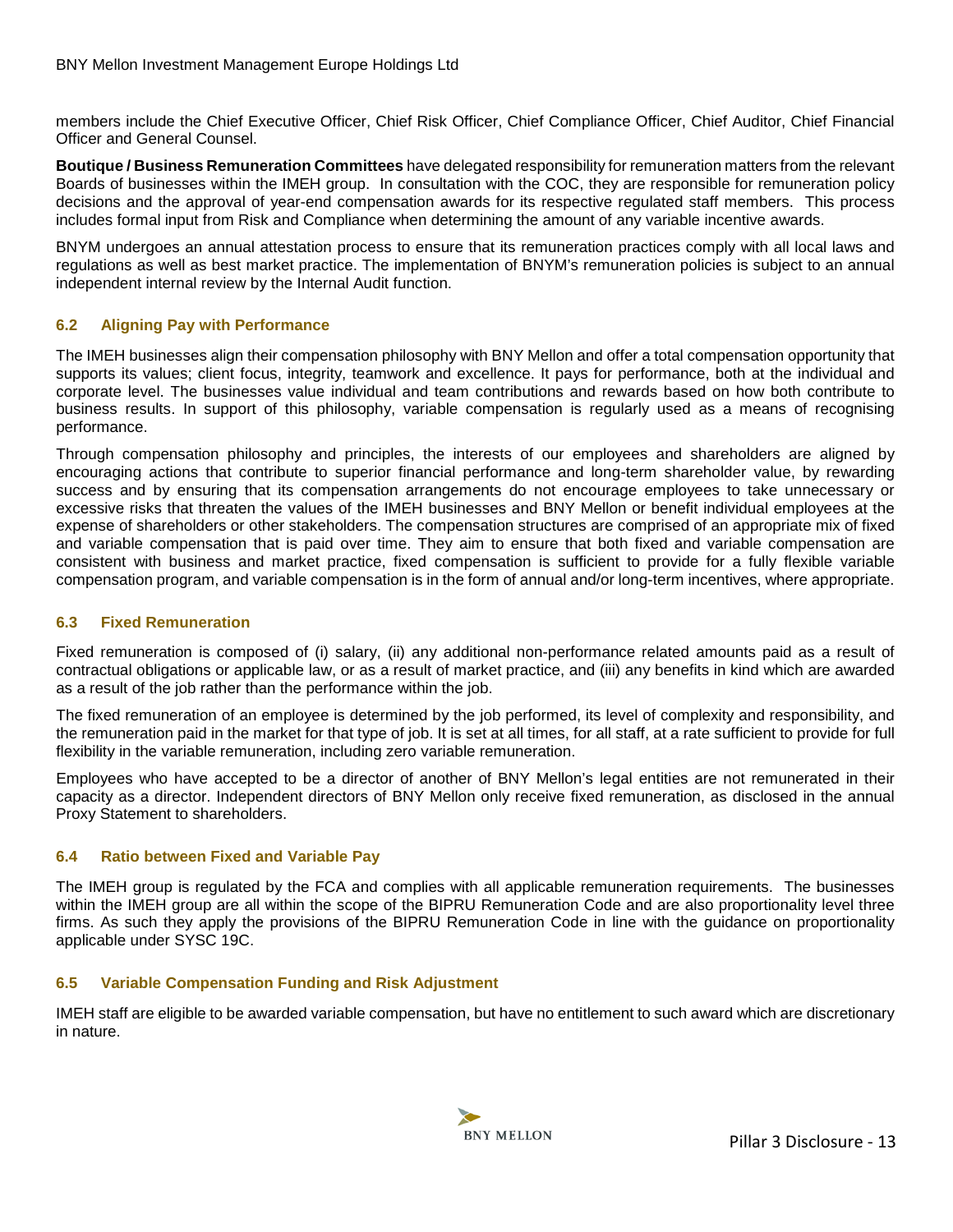members include the Chief Executive Officer, Chief Risk Officer, Chief Compliance Officer, Chief Auditor, Chief Financial Officer and General Counsel.

**Boutique / Business Remuneration Committees** have delegated responsibility for remuneration matters from the relevant Boards of businesses within the IMEH group. In consultation with the COC, they are responsible for remuneration policy decisions and the approval of year-end compensation awards for its respective regulated staff members. This process includes formal input from Risk and Compliance when determining the amount of any variable incentive awards.

BNYM undergoes an annual attestation process to ensure that its remuneration practices comply with all local laws and regulations as well as best market practice. The implementation of BNYM's remuneration policies is subject to an annual independent internal review by the Internal Audit function.

## **6.2 Aligning Pay with Performance**

<span id="page-12-0"></span>The IMEH businesses align their compensation philosophy with BNY Mellon and offer a total compensation opportunity that supports its values; client focus, integrity, teamwork and excellence. It pays for performance, both at the individual and corporate level. The businesses value individual and team contributions and rewards based on how both contribute to business results. In support of this philosophy, variable compensation is regularly used as a means of recognising performance.

Through compensation philosophy and principles, the interests of our employees and shareholders are aligned by encouraging actions that contribute to superior financial performance and long-term shareholder value, by rewarding success and by ensuring that its compensation arrangements do not encourage employees to take unnecessary or excessive risks that threaten the values of the IMEH businesses and BNY Mellon or benefit individual employees at the expense of shareholders or other stakeholders. The compensation structures are comprised of an appropriate mix of fixed and variable compensation that is paid over time. They aim to ensure that both fixed and variable compensation are consistent with business and market practice, fixed compensation is sufficient to provide for a fully flexible variable compensation program, and variable compensation is in the form of annual and/or long-term incentives, where appropriate.

## **6.3 Fixed Remuneration**

Fixed remuneration is composed of (i) salary, (ii) any additional non-performance related amounts paid as a result of contractual obligations or applicable law, or as a result of market practice, and (iii) any benefits in kind which are awarded as a result of the job rather than the performance within the job.

<span id="page-12-1"></span>The fixed remuneration of an employee is determined by the job performed, its level of complexity and responsibility, and the remuneration paid in the market for that type of job. It is set at all times, for all staff, at a rate sufficient to provide for full flexibility in the variable remuneration, including zero variable remuneration.

Employees who have accepted to be a director of another of BNY Mellon's legal entities are not remunerated in their capacity as a director. Independent directors of BNY Mellon only receive fixed remuneration, as disclosed in the annual Proxy Statement to shareholders.

## **6.4 Ratio between Fixed and Variable Pay**

<span id="page-12-2"></span>The IMEH group is regulated by the FCA and complies with all applicable remuneration requirements. The businesses within the IMEH group are all within the scope of the BIPRU Remuneration Code and are also proportionality level three firms. As such they apply the provisions of the BIPRU Remuneration Code in line with the guidance on proportionality applicable under SYSC 19C.

#### **6.5 Variable Compensation Funding and Risk Adjustment**

<span id="page-12-3"></span>IMEH staff are eligible to be awarded variable compensation, but have no entitlement to such award which are discretionary in nature.

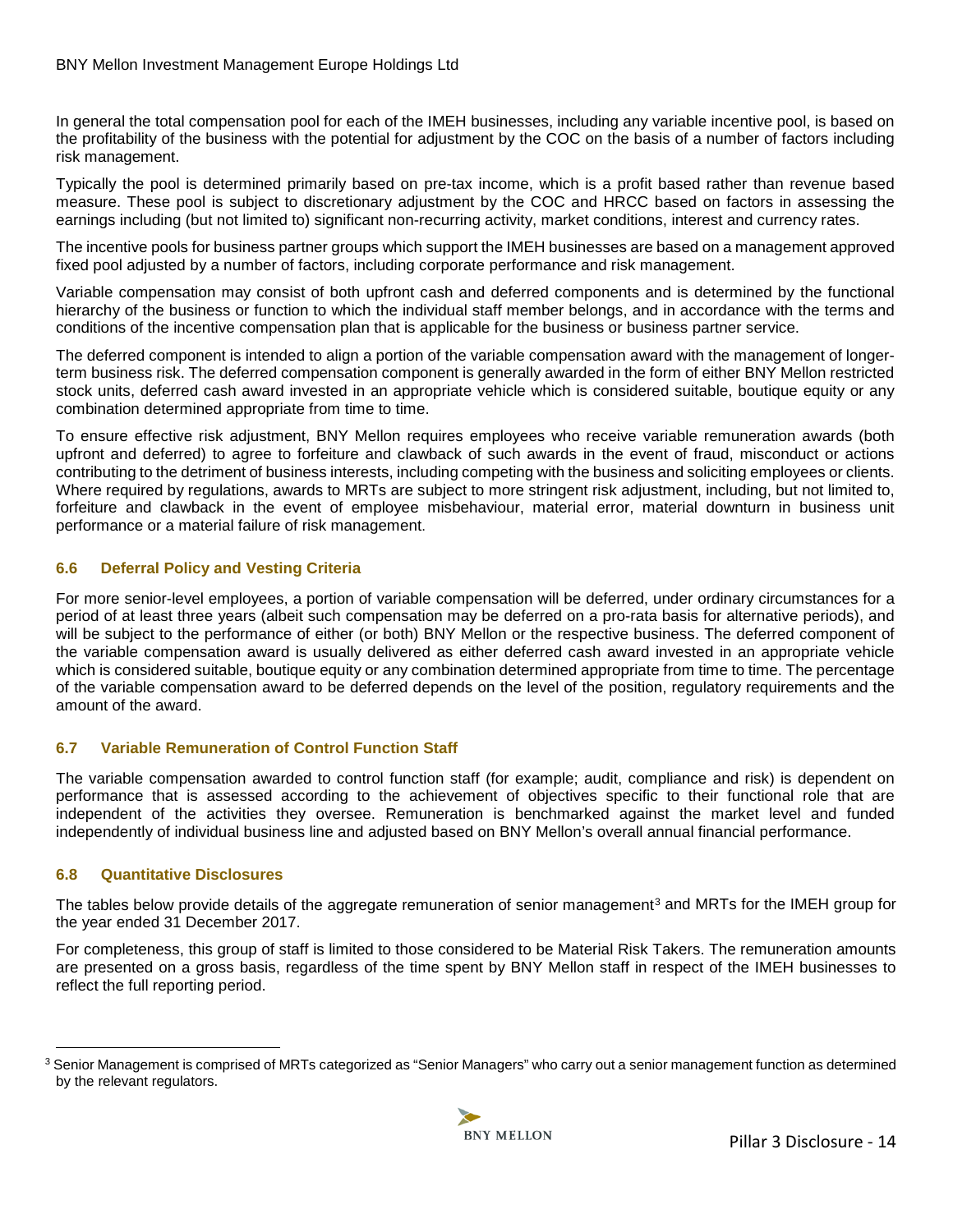In general the total compensation pool for each of the IMEH businesses, including any variable incentive pool, is based on the profitability of the business with the potential for adjustment by the COC on the basis of a number of factors including risk management.

Typically the pool is determined primarily based on pre-tax income, which is a profit based rather than revenue based measure. These pool is subject to discretionary adjustment by the COC and HRCC based on factors in assessing the earnings including (but not limited to) significant non-recurring activity, market conditions, interest and currency rates.

The incentive pools for business partner groups which support the IMEH businesses are based on a management approved fixed pool adjusted by a number of factors, including corporate performance and risk management.

Variable compensation may consist of both upfront cash and deferred components and is determined by the functional hierarchy of the business or function to which the individual staff member belongs, and in accordance with the terms and conditions of the incentive compensation plan that is applicable for the business or business partner service.

The deferred component is intended to align a portion of the variable compensation award with the management of longerterm business risk. The deferred compensation component is generally awarded in the form of either BNY Mellon restricted stock units, deferred cash award invested in an appropriate vehicle which is considered suitable, boutique equity or any combination determined appropriate from time to time.

To ensure effective risk adjustment, BNY Mellon requires employees who receive variable remuneration awards (both upfront and deferred) to agree to forfeiture and clawback of such awards in the event of fraud, misconduct or actions contributing to the detriment of business interests, including competing with the business and soliciting employees or clients. Where required by regulations, awards to MRTs are subject to more stringent risk adjustment, including, but not limited to, forfeiture and clawback in the event of employee misbehaviour, material error, material downturn in business unit performance or a material failure of risk management.

## **6.6 Deferral Policy and Vesting Criteria**

<span id="page-13-0"></span>For more senior-level employees, a portion of variable compensation will be deferred, under ordinary circumstances for a period of at least three years (albeit such compensation may be deferred on a pro-rata basis for alternative periods), and will be subject to the performance of either (or both) BNY Mellon or the respective business. The deferred component of the variable compensation award is usually delivered as either deferred cash award invested in an appropriate vehicle which is considered suitable, boutique equity or any combination determined appropriate from time to time. The percentage of the variable compensation award to be deferred depends on the level of the position, regulatory requirements and the amount of the award.

## **6.7 Variable Remuneration of Control Function Staff**

<span id="page-13-1"></span>The variable compensation awarded to control function staff (for example; audit, compliance and risk) is dependent on performance that is assessed according to the achievement of objectives specific to their functional role that are independent of the activities they oversee. Remuneration is benchmarked against the market level and funded independently of individual business line and adjusted based on BNY Mellon's overall annual financial performance.

## **6.8 Quantitative Disclosures**

 $\overline{a}$ 

The tables below provide details of the aggregate remuneration of senior management<sup>[3](#page-13-3)</sup> and MRTs for the IMEH group for the year ended 31 December 2017.

<span id="page-13-2"></span>For completeness, this group of staff is limited to those considered to be Material Risk Takers. The remuneration amounts are presented on a gross basis, regardless of the time spent by BNY Mellon staff in respect of the IMEH businesses to reflect the full reporting period.

<span id="page-13-3"></span><sup>&</sup>lt;sup>3</sup> Senior Management is comprised of MRTs categorized as "Senior Managers" who carry out a senior management function as determined by the relevant regulators.

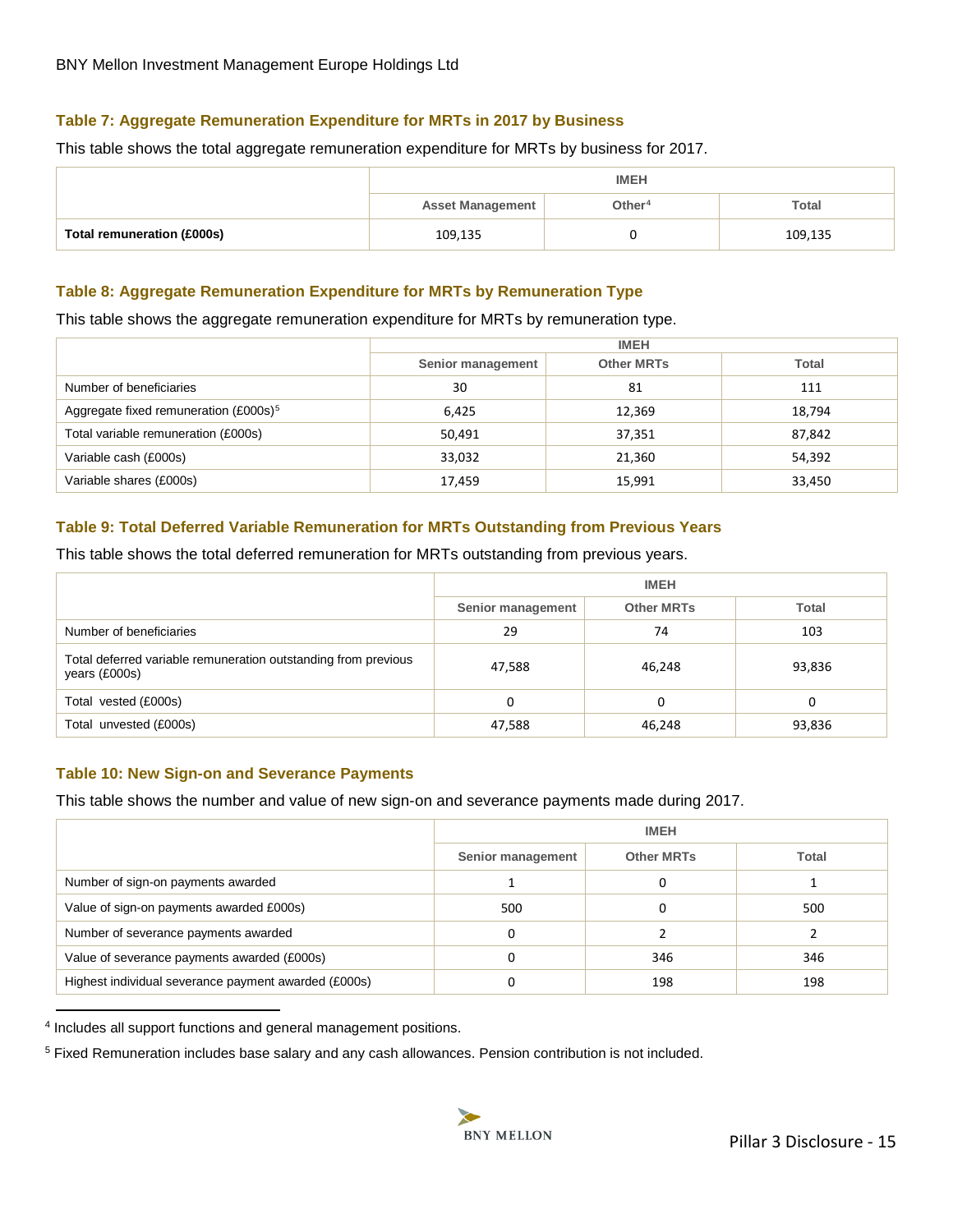## **Table 7: Aggregate Remuneration Expenditure for MRTs in 2017 by Business**

This table shows the total aggregate remuneration expenditure for MRTs by business for 2017.

<span id="page-14-0"></span>

|                            | <b>IMEH</b>             |           |              |  |  |
|----------------------------|-------------------------|-----------|--------------|--|--|
|                            | <b>Asset Management</b> | Other $4$ | <b>Total</b> |  |  |
| Total remuneration (£000s) | 109,135                 |           | 109,135      |  |  |

## **Table 8: Aggregate Remuneration Expenditure for MRTs by Remuneration Type**

This table shows the aggregate remuneration expenditure for MRTs by remuneration type.

<span id="page-14-1"></span>

|                                                   | <b>IMEH</b>       |                   |              |  |
|---------------------------------------------------|-------------------|-------------------|--------------|--|
|                                                   | Senior management | <b>Other MRTs</b> | <b>Total</b> |  |
| Number of beneficiaries                           | 30                | 81                | 111          |  |
| Aggregate fixed remuneration (£000s) <sup>5</sup> | 6.425             | 12,369            | 18,794       |  |
| Total variable remuneration (£000s)               | 50,491            | 37,351            | 87,842       |  |
| Variable cash (£000s)                             | 33,032            | 21,360            | 54,392       |  |
| Variable shares (£000s)                           | 17,459            | 15,991            | 33,450       |  |

## **Table 9: Total Deferred Variable Remuneration for MRTs Outstanding from Previous Years**

This table shows the total deferred remuneration for MRTs outstanding from previous years.

<span id="page-14-2"></span>

|                                                                                 | <b>IMEH</b>       |                   |        |  |
|---------------------------------------------------------------------------------|-------------------|-------------------|--------|--|
|                                                                                 | Senior management | <b>Other MRTs</b> | Total  |  |
| Number of beneficiaries                                                         | 29                | 74                | 103    |  |
| Total deferred variable remuneration outstanding from previous<br>years (£000s) | 47,588            | 46,248            | 93,836 |  |
| Total vested (£000s)                                                            | 0                 | 0                 | 0      |  |
| Total unvested (£000s)                                                          | 47,588            | 46,248            | 93,836 |  |

#### **Table 10: New Sign-on and Severance Payments**

This table shows the number and value of new sign-on and severance payments made during 2017.

<span id="page-14-3"></span>

|                                                      | <b>IMEH</b>       |                   |              |
|------------------------------------------------------|-------------------|-------------------|--------------|
|                                                      | Senior management | <b>Other MRTs</b> | <b>Total</b> |
| Number of sign-on payments awarded                   |                   |                   |              |
| Value of sign-on payments awarded £000s)             | 500               |                   | 500          |
| Number of severance payments awarded                 |                   |                   |              |
| Value of severance payments awarded (£000s)          |                   | 346               | 346          |
| Highest individual severance payment awarded (£000s) |                   | 198               | 198          |

<span id="page-14-4"></span>4 Includes all support functions and general management positions.

 $\overline{a}$ 

<span id="page-14-5"></span>5 Fixed Remuneration includes base salary and any cash allowances. Pension contribution is not included.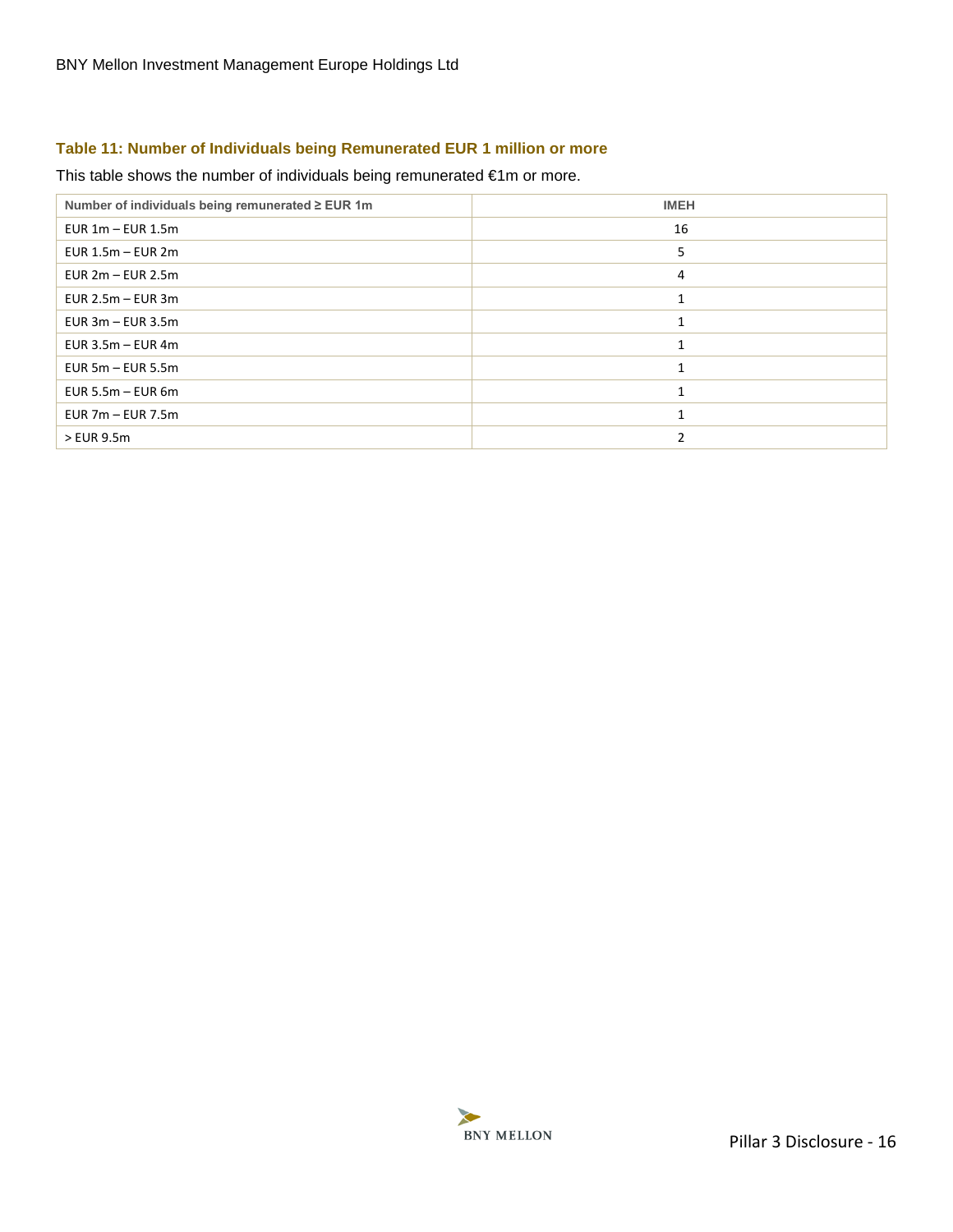## **Table 11: Number of Individuals being Remunerated EUR 1 million or more**

## This table shows the number of individuals being remunerated €1m or more.

<span id="page-15-0"></span>

| Number of individuals being remunerated ≥ EUR 1m | <b>IMEH</b> |
|--------------------------------------------------|-------------|
| EUR $1m - EUR$ 1.5m                              | 16          |
| EUR $1.5m - EUR$ 2m                              | 5           |
| EUR $2m - EUR$ 2.5m                              | 4           |
| EUR $2.5m - EUR$ 3m                              |             |
| EUR $3m - EUR$ 3.5m                              |             |
| EUR $3.5m - EUR$ 4m                              |             |
| EUR $5m - EUR$ 5.5m                              |             |
| EUR 5.5 $m$ – EUR 6 $m$                          |             |
| EUR $7m - EUR$ 7.5m                              |             |
| > EUR 9.5m                                       |             |